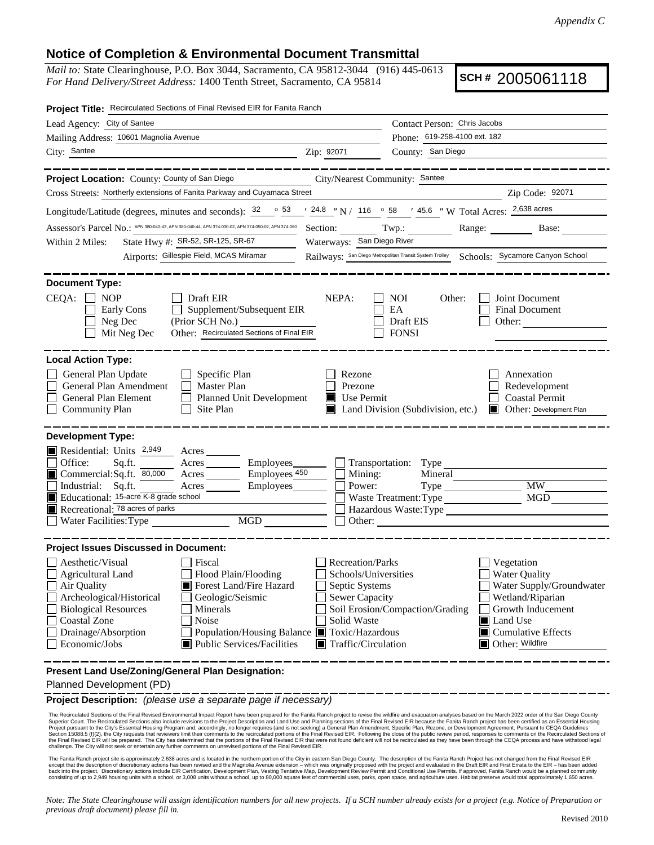## **Notice of Completion & Environmental Document Transmittal**

*Mail to:* State Clearinghouse, P.O. Box 3044, Sacramento, CA 95812-3044 (916) 445-0613 *For Hand Delivery/Street Address:* 1400 Tenth Street, Sacramento, CA 95814

**SCH #** 2005061118

| Project Title: Recirculated Sections of Final Revised EIR for Fanita Ranch                                                                                                                                                                                                                                                                                                               |                                                                                                                                          |                                                                                                     |                                                                                                                                                                                           |  |  |  |  |
|------------------------------------------------------------------------------------------------------------------------------------------------------------------------------------------------------------------------------------------------------------------------------------------------------------------------------------------------------------------------------------------|------------------------------------------------------------------------------------------------------------------------------------------|-----------------------------------------------------------------------------------------------------|-------------------------------------------------------------------------------------------------------------------------------------------------------------------------------------------|--|--|--|--|
| Lead Agency: City of Santee<br>Contact Person: Chris Jacobs                                                                                                                                                                                                                                                                                                                              |                                                                                                                                          |                                                                                                     |                                                                                                                                                                                           |  |  |  |  |
| Mailing Address: 10601 Magnolia Avenue                                                                                                                                                                                                                                                                                                                                                   | Phone: 619-258-4100 ext. 182                                                                                                             |                                                                                                     |                                                                                                                                                                                           |  |  |  |  |
| City: Santee                                                                                                                                                                                                                                                                                                                                                                             | County: San Diego<br>Zip: 92071                                                                                                          |                                                                                                     |                                                                                                                                                                                           |  |  |  |  |
|                                                                                                                                                                                                                                                                                                                                                                                          |                                                                                                                                          |                                                                                                     |                                                                                                                                                                                           |  |  |  |  |
| Project Location: County: County of San Diego                                                                                                                                                                                                                                                                                                                                            | City/Nearest Community: Santee                                                                                                           |                                                                                                     |                                                                                                                                                                                           |  |  |  |  |
| Cross Streets: Northerly extensions of Fanita Parkway and Cuyamaca Street                                                                                                                                                                                                                                                                                                                |                                                                                                                                          |                                                                                                     | Zip Code: 92071                                                                                                                                                                           |  |  |  |  |
| Longitude/Latitude (degrees, minutes and seconds): $\frac{32}{53}$ $\frac{53}{24.8}$ N / 116 $\degree$ 58 $\degree$ 45.6 N W Total Acres: $\frac{2,638 \text{ acres}}{2,638 \text{ acres}}$                                                                                                                                                                                              |                                                                                                                                          |                                                                                                     |                                                                                                                                                                                           |  |  |  |  |
| Assessor's Parcel No.: APN 380-040-43, APN 380-040-44, APN 374-030-02, APN 374-050-02, APN 374-060 Section: Twp.: Range: ________<br>Base:                                                                                                                                                                                                                                               |                                                                                                                                          |                                                                                                     |                                                                                                                                                                                           |  |  |  |  |
| State Hwy #: SR-52, SR-125, SR-67<br>Within 2 Miles:                                                                                                                                                                                                                                                                                                                                     | Waterways: San Diego River                                                                                                               |                                                                                                     |                                                                                                                                                                                           |  |  |  |  |
| Railways: San Diego Metropolitan Transit System Trolley   Schools: Sycamore Canyon School<br>Airports: Gillespie Field, MCAS Miramar                                                                                                                                                                                                                                                     |                                                                                                                                          |                                                                                                     |                                                                                                                                                                                           |  |  |  |  |
|                                                                                                                                                                                                                                                                                                                                                                                          |                                                                                                                                          |                                                                                                     |                                                                                                                                                                                           |  |  |  |  |
| <b>Document Type:</b><br>$CEQA: \Box NOP$<br>$\Box$ Draft EIR<br>$\Box$ Supplement/Subsequent EIR<br>$\Box$ Early Cons<br>$\Box$ Neg Dec<br>Other: Recirculated Sections of Final EIR<br>$\Box$ Mit Neg Dec                                                                                                                                                                              | NEPA:                                                                                                                                    | $\blacksquare$ NOI<br>Other:<br>$\Box$ EA<br>$\Box$ Draft EIS<br>$\Box$ FONSI                       | <b>Joint Document</b><br><b>Final Document</b><br>$\Box$ Other:                                                                                                                           |  |  |  |  |
| <b>Local Action Type:</b><br>General Plan Update<br>$\Box$ Specific Plan<br>$\Box$ Master Plan<br>General Plan Amendment<br>$\Box$ Planned Unit Development<br><b>General Plan Element</b><br>$\Box$ Site Plan<br>Community Plan                                                                                                                                                         | $\Box$ Rezone<br>Prezone<br>Use Permit                                                                                                   | $\blacksquare$ Land Division (Subdivision, etc.)                                                    | Annexation<br>Redevelopment<br>Coastal Permit<br>$\Box$<br>Other: Development Plan                                                                                                        |  |  |  |  |
| <b>Development Type:</b>                                                                                                                                                                                                                                                                                                                                                                 |                                                                                                                                          |                                                                                                     |                                                                                                                                                                                           |  |  |  |  |
| Residential: Units $2,949$<br>Acres<br>Office:<br>Employees_<br>Sq.ft.<br>Acres<br>Commercial: Sq.ft. $\overline{80,000}$<br>Employees <sub>450</sub><br>Acres<br>$\Box$ Industrial: Sq.ft.<br>Acres<br>Employees<br>Educational: 15-acre K-8 grade school<br>Recreational: 78 acres of parks<br>MGD<br>$\Box$ Water Facilities: Type                                                    | $\Box$ Mining:<br>Power:<br>$\Box$ Other:                                                                                                | $\Box$ Transportation: Type<br>Mineral<br>$Type$ <sub><math>-</math></sub><br>Waste Treatment: Type | <b>MW</b><br>MGD<br>Hazardous Waste:Type                                                                                                                                                  |  |  |  |  |
| <b>Project Issues Discussed in Document:</b>                                                                                                                                                                                                                                                                                                                                             |                                                                                                                                          |                                                                                                     |                                                                                                                                                                                           |  |  |  |  |
| Aesthetic/Visual<br>Fiscal<br>Agricultural Land<br>Flood Plain/Flooding<br>Forest Land/Fire Hazard<br>Air Quality<br>Archeological/Historical<br>Geologic/Seismic<br><b>Biological Resources</b><br>$\Box$ Minerals<br>Noise<br>Coastal Zone<br>□ Drainage/Absorption<br>Population/Housing Balance Toxic/Hazardous<br>$\blacksquare$ Public Services/Facilities<br>$\Box$ Economic/Jobs | $\Box$ Recreation/Parks<br>Schools/Universities<br>Septic Systems<br>Sewer Capacity<br>Solid Waste<br>$\blacksquare$ Traffic/Circulation | Soil Erosion/Compaction/Grading                                                                     | $\Box$ Vegetation<br><b>Water Quality</b><br>Water Supply/Groundwater<br>Wetland/Riparian<br><b>Growth Inducement</b><br>Land Use<br>$\blacksquare$ Cumulative Effects<br>Other: Wildfire |  |  |  |  |
| Present Land Use/Zoning/General Plan Designation:                                                                                                                                                                                                                                                                                                                                        |                                                                                                                                          |                                                                                                     |                                                                                                                                                                                           |  |  |  |  |
| Planned Development (PD)                                                                                                                                                                                                                                                                                                                                                                 |                                                                                                                                          |                                                                                                     |                                                                                                                                                                                           |  |  |  |  |

**Project Description:** *(please use a separate page if necessary)*

The Recirculated Sections of the Final Revised Environmental Impact Report have been prepared for the Fanita Ranch project to revise the wildfire and evacuation analyses based on the March 2022 order of the San Diego Count

The Fanita Ranch project site is approximately 2,638 acres and is located in the northern portion of the City in eastern San Diego County. The description of the Fanita Ranch Project has not changed from the Final Revised

*Note: The State Clearinghouse will assign identification numbers for all new projects. If a SCH number already exists for a project (e.g. Notice of Preparation or previous draft document) please fill in.*